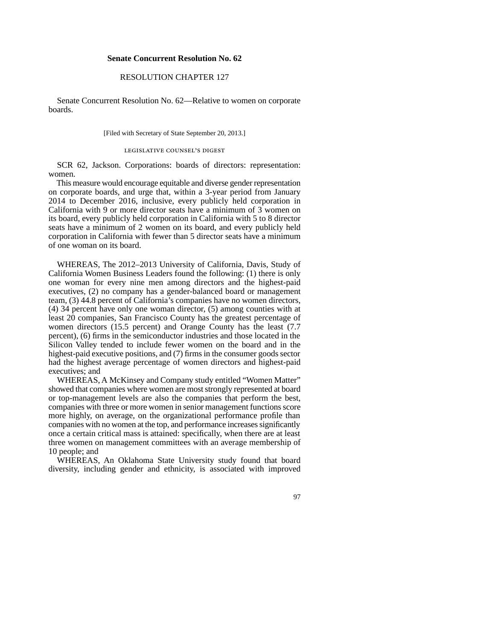## **Senate Concurrent Resolution No. 62**

## RESOLUTION CHAPTER 127

Senate Concurrent Resolution No. 62—Relative to women on corporate boards.

[Filed with Secretary of State September 20, 2013.]

## legislative counsel' s digest

SCR 62, Jackson. Corporations: boards of directors: representation: women.

This measure would encourage equitable and diverse gender representation on corporate boards, and urge that, within a 3-year period from January 2014 to December 2016, inclusive, every publicly held corporation in California with 9 or more director seats have a minimum of 3 women on its board, every publicly held corporation in California with 5 to 8 director seats have a minimum of 2 women on its board, and every publicly held corporation in California with fewer than 5 director seats have a minimum of one woman on its board.

WHEREAS, The 2012–2013 University of California, Davis, Study of California Women Business Leaders found the following: (1) there is only one woman for every nine men among directors and the highest-paid executives, (2) no company has a gender-balanced board or management team, (3) 44.8 percent of California's companies have no women directors, (4) 34 percent have only one woman director, (5) among counties with at least 20 companies, San Francisco County has the greatest percentage of women directors (15.5 percent) and Orange County has the least (7.7 percent), (6) firms in the semiconductor industries and those located in the Silicon Valley tended to include fewer women on the board and in the highest-paid executive positions, and (7) firms in the consumer goods sector had the highest average percentage of women directors and highest-paid executives; and

WHEREAS, A McKinsey and Company study entitled "Women Matter" showed that companies where women are most strongly represented at board or top-management levels are also the companies that perform the best, companies with three or more women in senior management functions score more highly, on average, on the organizational performance profile than companies with no women at the top, and performance increases significantly once a certain critical mass is attained: specifically, when there are at least three women on management committees with an average membership of 10 people; and

WHEREAS, An Oklahoma State University study found that board diversity, including gender and ethnicity, is associated with improved

97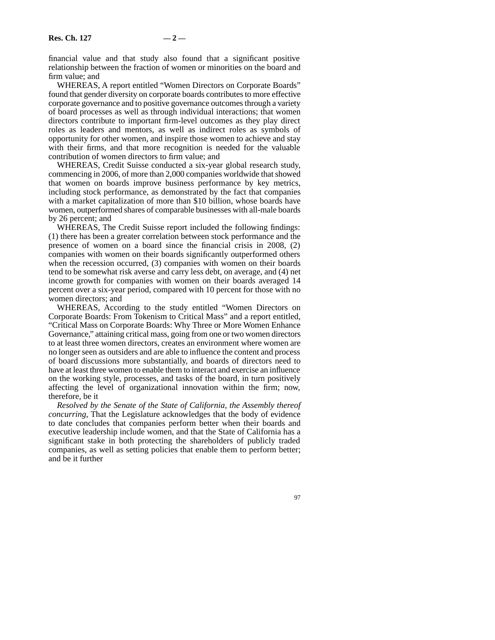financial value and that study also found that a significant positive relationship between the fraction of women or minorities on the board and firm value; and

WHEREAS, A report entitled "Women Directors on Corporate Boards" found that gender diversity on corporate boards contributes to more effective corporate governance and to positive governance outcomes through a variety of board processes as well as through individual interactions; that women directors contribute to important firm-level outcomes as they play direct roles as leaders and mentors, as well as indirect roles as symbols of opportunity for other women, and inspire those women to achieve and stay with their firms, and that more recognition is needed for the valuable contribution of women directors to firm value; and

WHEREAS, Credit Suisse conducted a six-year global research study, commencing in 2006, of more than 2,000 companies worldwide that showed that women on boards improve business performance by key metrics, including stock performance, as demonstrated by the fact that companies with a market capitalization of more than \$10 billion, whose boards have women, outperformed shares of comparable businesses with all-male boards by 26 percent; and

WHEREAS, The Credit Suisse report included the following findings: (1) there has been a greater correlation between stock performance and the presence of women on a board since the financial crisis in 2008, (2) companies with women on their boards significantly outperformed others when the recession occurred, (3) companies with women on their boards tend to be somewhat risk averse and carry less debt, on average, and (4) net income growth for companies with women on their boards averaged 14 percent over a six-year period, compared with 10 percent for those with no women directors; and

WHEREAS, According to the study entitled "Women Directors on Corporate Boards: From Tokenism to Critical Mass" and a report entitled, "Critical Mass on Corporate Boards: Why Three or More Women Enhance Governance," attaining critical mass, going from one or two women directors to at least three women directors, creates an environment where women are no longer seen as outsiders and are able to influence the content and process of board discussions more substantially, and boards of directors need to have at least three women to enable them to interact and exercise an influence on the working style, processes, and tasks of the board, in turn positively affecting the level of organizational innovation within the firm; now, therefore, be it

*Resolved by the Senate of the State of California, the Assembly thereof concurring,* That the Legislature acknowledges that the body of evidence to date concludes that companies perform better when their boards and executive leadership include women, and that the State of California has a significant stake in both protecting the shareholders of publicly traded companies, as well as setting policies that enable them to perform better; and be it further

97